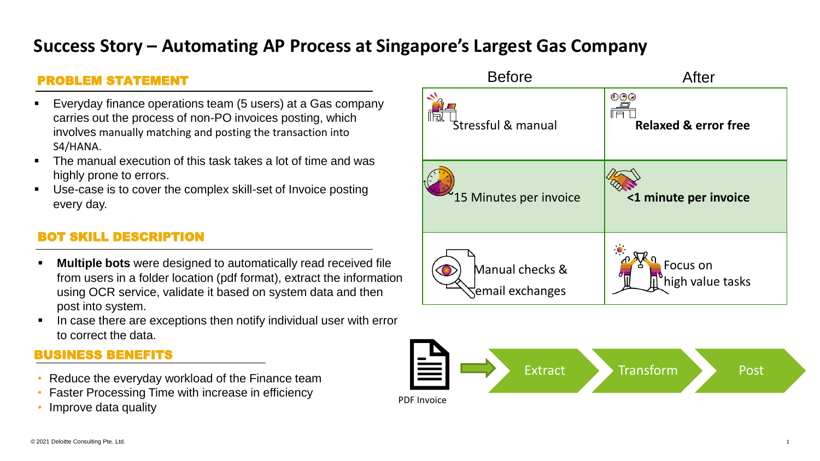# **Success Story – Automating AP Process at Singapore's Largest Gas Company**

### PROBLEM STATEMENT

- Everyday finance operations team (5 users) at a Gas company carries out the process of non-PO invoices posting, which involves manually matching and posting the transaction into S4/HANA.
- The manual execution of this task takes a lot of time and was highly prone to errors.
- Use-case is to cover the complex skill-set of Invoice posting every day.

### **SKILL DESCRIPTION**

- **Multiple bots** were designed to automatically read received file from users in a folder location (pdf format), extract the information using OCR service, validate it based on system data and then post into system.
- In case there are exceptions then notify individual user with error to correct the data.

#### BUSINESS BENEFITS

- Reduce the everyday workload of the Finance team
- Faster Processing Time with increase in efficiency
- Improve data quality



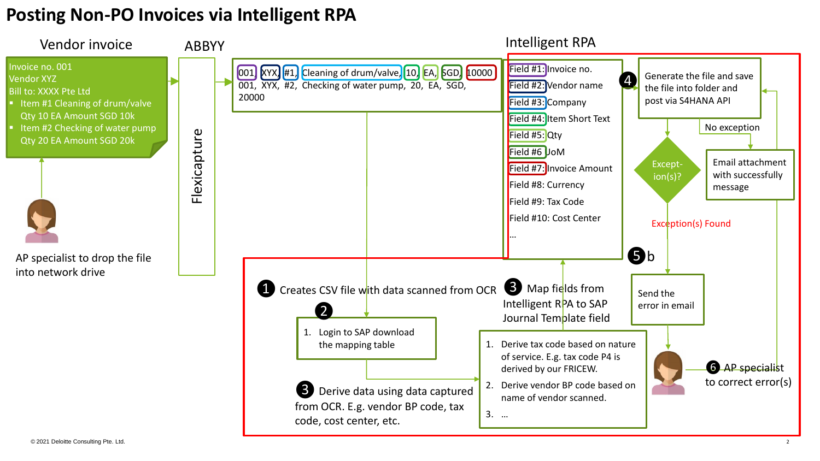# **Posting Non-PO Invoices via Intelligent RPA**